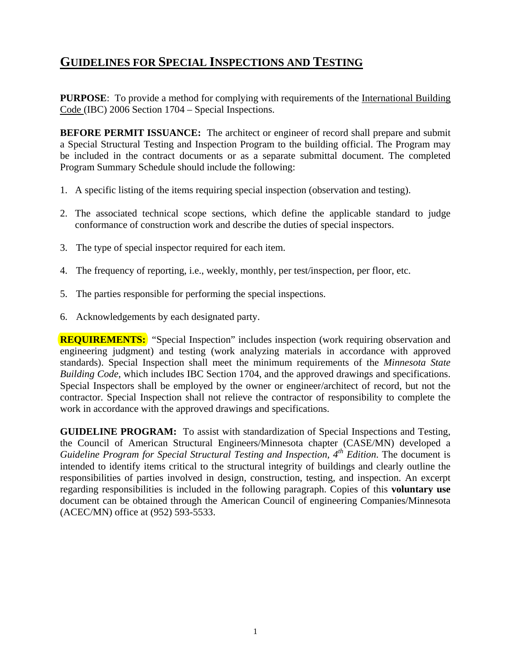# **GUIDELINES FOR SPECIAL INSPECTIONS AND TESTING**

**PURPOSE:** To provide a method for complying with requirements of the International Building Code (IBC) 2006 Section 1704 – Special Inspections.

**BEFORE PERMIT ISSUANCE:** The architect or engineer of record shall prepare and submit a Special Structural Testing and Inspection Program to the building official. The Program may be included in the contract documents or as a separate submittal document. The completed Program Summary Schedule should include the following:

- 1. A specific listing of the items requiring special inspection (observation and testing).
- 2. The associated technical scope sections, which define the applicable standard to judge conformance of construction work and describe the duties of special inspectors.
- 3. The type of special inspector required for each item.
- 4. The frequency of reporting, i.e., weekly, monthly, per test/inspection, per floor, etc.
- 5. The parties responsible for performing the special inspections.
- 6. Acknowledgements by each designated party.

**REQUIREMENTS:** "Special Inspection" includes inspection (work requiring observation and engineering judgment) and testing (work analyzing materials in accordance with approved standards). Special Inspection shall meet the minimum requirements of the *Minnesota State Building Code,* which includes IBC Section 1704, and the approved drawings and specifications. Special Inspectors shall be employed by the owner or engineer/architect of record, but not the contractor. Special Inspection shall not relieve the contractor of responsibility to complete the work in accordance with the approved drawings and specifications.

**GUIDELINE PROGRAM:** To assist with standardization of Special Inspections and Testing, the Council of American Structural Engineers/Minnesota chapter (CASE/MN) developed a *Guideline Program for Special Structural Testing and Inspection, 4th Edition*. The document is intended to identify items critical to the structural integrity of buildings and clearly outline the responsibilities of parties involved in design, construction, testing, and inspection. An excerpt regarding responsibilities is included in the following paragraph. Copies of this **voluntary use** document can be obtained through the American Council of engineering Companies/Minnesota (ACEC/MN) office at (952) 593-5533.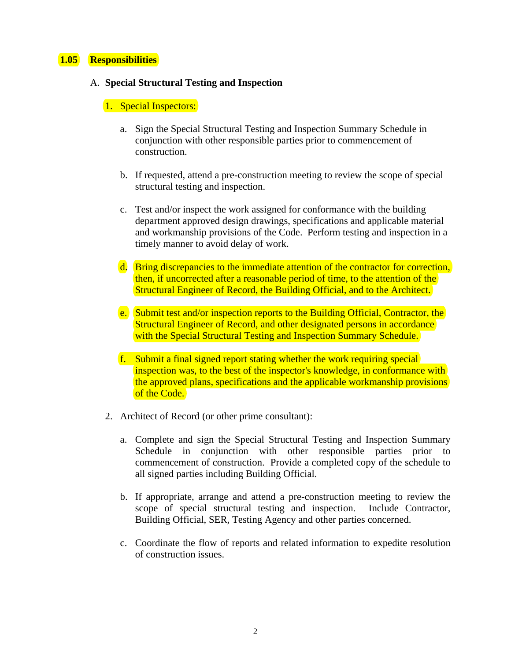## **1.05 Responsibilities**

#### A. **Special Structural Testing and Inspection**

### 1. Special Inspectors:

- a. Sign the Special Structural Testing and Inspection Summary Schedule in conjunction with other responsible parties prior to commencement of construction.
- b. If requested, attend a pre-construction meeting to review the scope of special structural testing and inspection.
- c. Test and/or inspect the work assigned for conformance with the building department approved design drawings, specifications and applicable material and workmanship provisions of the Code. Perform testing and inspection in a timely manner to avoid delay of work.
- d. Bring discrepancies to the immediate attention of the contractor for correction, then, if uncorrected after a reasonable period of time, to the attention of the Structural Engineer of Record, the Building Official, and to the Architect.
- e. Submit test and/or inspection reports to the Building Official, Contractor, the Structural Engineer of Record, and other designated persons in accordance with the Special Structural Testing and Inspection Summary Schedule.
- f. Submit a final signed report stating whether the work requiring special inspection was, to the best of the inspector's knowledge, in conformance with the approved plans, specifications and the applicable workmanship provisions of the Code.
- 2. Architect of Record (or other prime consultant):
	- a. Complete and sign the Special Structural Testing and Inspection Summary Schedule in conjunction with other responsible parties prior to commencement of construction. Provide a completed copy of the schedule to all signed parties including Building Official.
	- b. If appropriate, arrange and attend a pre-construction meeting to review the scope of special structural testing and inspection. Include Contractor, Building Official, SER, Testing Agency and other parties concerned.
	- c. Coordinate the flow of reports and related information to expedite resolution of construction issues.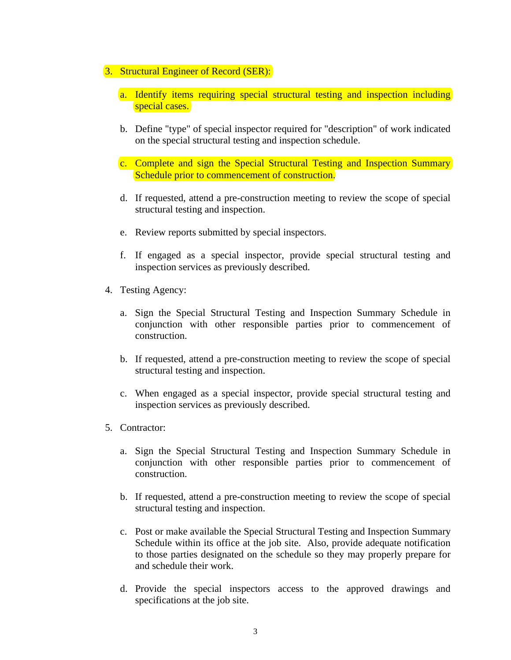## 3. Structural Engineer of Record (SER):

- a. Identify items requiring special structural testing and inspection including special cases.
- b. Define "type" of special inspector required for "description" of work indicated on the special structural testing and inspection schedule.
- c. Complete and sign the Special Structural Testing and Inspection Summary Schedule prior to commencement of construction.
- d. If requested, attend a pre-construction meeting to review the scope of special structural testing and inspection.
- e. Review reports submitted by special inspectors.
- f. If engaged as a special inspector, provide special structural testing and inspection services as previously described.
- 4. Testing Agency:
	- a. Sign the Special Structural Testing and Inspection Summary Schedule in conjunction with other responsible parties prior to commencement of construction.
	- b. If requested, attend a pre-construction meeting to review the scope of special structural testing and inspection.
	- c. When engaged as a special inspector, provide special structural testing and inspection services as previously described.
- 5. Contractor:
	- a. Sign the Special Structural Testing and Inspection Summary Schedule in conjunction with other responsible parties prior to commencement of construction.
	- b. If requested, attend a pre-construction meeting to review the scope of special structural testing and inspection.
	- c. Post or make available the Special Structural Testing and Inspection Summary Schedule within its office at the job site. Also, provide adequate notification to those parties designated on the schedule so they may properly prepare for and schedule their work.
	- d. Provide the special inspectors access to the approved drawings and specifications at the job site.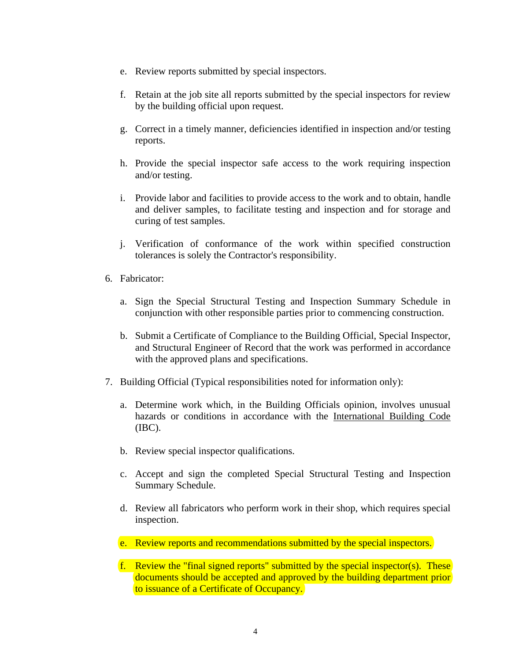- e. Review reports submitted by special inspectors.
- f. Retain at the job site all reports submitted by the special inspectors for review by the building official upon request.
- g. Correct in a timely manner, deficiencies identified in inspection and/or testing reports.
- h. Provide the special inspector safe access to the work requiring inspection and/or testing.
- i. Provide labor and facilities to provide access to the work and to obtain, handle and deliver samples, to facilitate testing and inspection and for storage and curing of test samples.
- j. Verification of conformance of the work within specified construction tolerances is solely the Contractor's responsibility.
- 6. Fabricator:
	- a. Sign the Special Structural Testing and Inspection Summary Schedule in conjunction with other responsible parties prior to commencing construction.
	- b. Submit a Certificate of Compliance to the Building Official, Special Inspector, and Structural Engineer of Record that the work was performed in accordance with the approved plans and specifications.
- 7. Building Official (Typical responsibilities noted for information only):
	- a. Determine work which, in the Building Officials opinion, involves unusual hazards or conditions in accordance with the International Building Code (IBC).
	- b. Review special inspector qualifications.
	- c. Accept and sign the completed Special Structural Testing and Inspection Summary Schedule.
	- d. Review all fabricators who perform work in their shop, which requires special inspection.
	- e. Review reports and recommendations submitted by the special inspectors.
	- f. Review the "final signed reports" submitted by the special inspector(s). These documents should be accepted and approved by the building department prior to issuance of a Certificate of Occupancy.